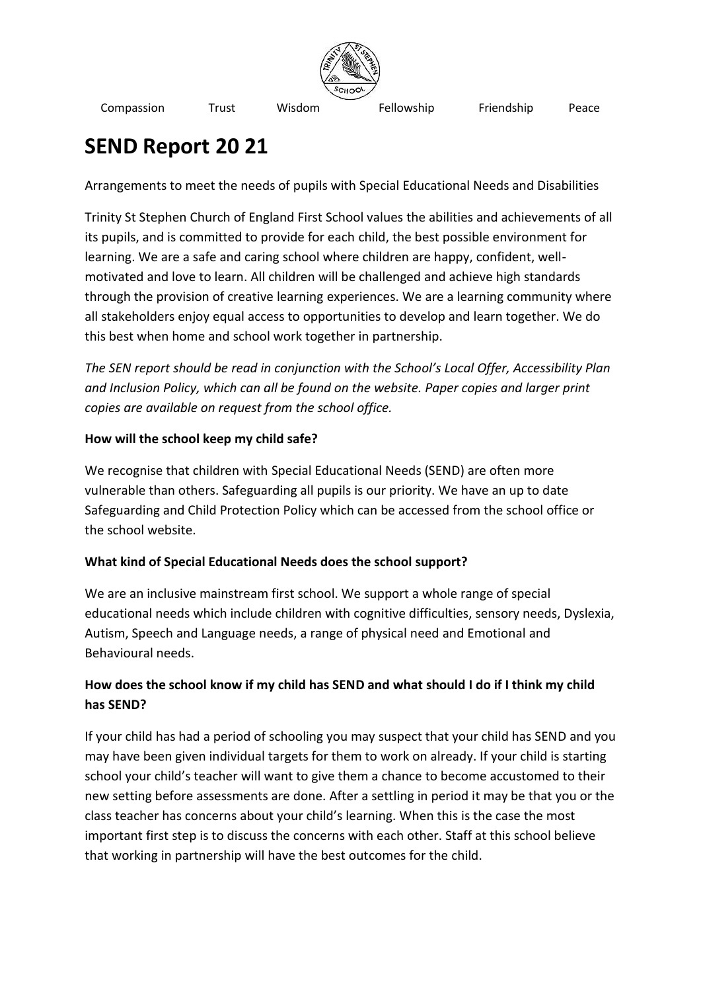

# **SEND Report 20 21**

Arrangements to meet the needs of pupils with Special Educational Needs and Disabilities

Trinity St Stephen Church of England First School values the abilities and achievements of all its pupils, and is committed to provide for each child, the best possible environment for learning. We are a safe and caring school where children are happy, confident, wellmotivated and love to learn. All children will be challenged and achieve high standards through the provision of creative learning experiences. We are a learning community where all stakeholders enjoy equal access to opportunities to develop and learn together. We do this best when home and school work together in partnership.

*The SEN report should be read in conjunction with the School's Local Offer, Accessibility Plan and Inclusion Policy, which can all be found on the website. Paper copies and larger print copies are available on request from the school office.*

## **How will the school keep my child safe?**

We recognise that children with Special Educational Needs (SEND) are often more vulnerable than others. Safeguarding all pupils is our priority. We have an up to date Safeguarding and Child Protection Policy which can be accessed from the school office or the school website.

# **What kind of Special Educational Needs does the school support?**

We are an inclusive mainstream first school. We support a whole range of special educational needs which include children with cognitive difficulties, sensory needs, Dyslexia, Autism, Speech and Language needs, a range of physical need and Emotional and Behavioural needs.

# **How does the school know if my child has SEND and what should I do if I think my child has SEND?**

If your child has had a period of schooling you may suspect that your child has SEND and you may have been given individual targets for them to work on already. If your child is starting school your child's teacher will want to give them a chance to become accustomed to their new setting before assessments are done. After a settling in period it may be that you or the class teacher has concerns about your child's learning. When this is the case the most important first step is to discuss the concerns with each other. Staff at this school believe that working in partnership will have the best outcomes for the child.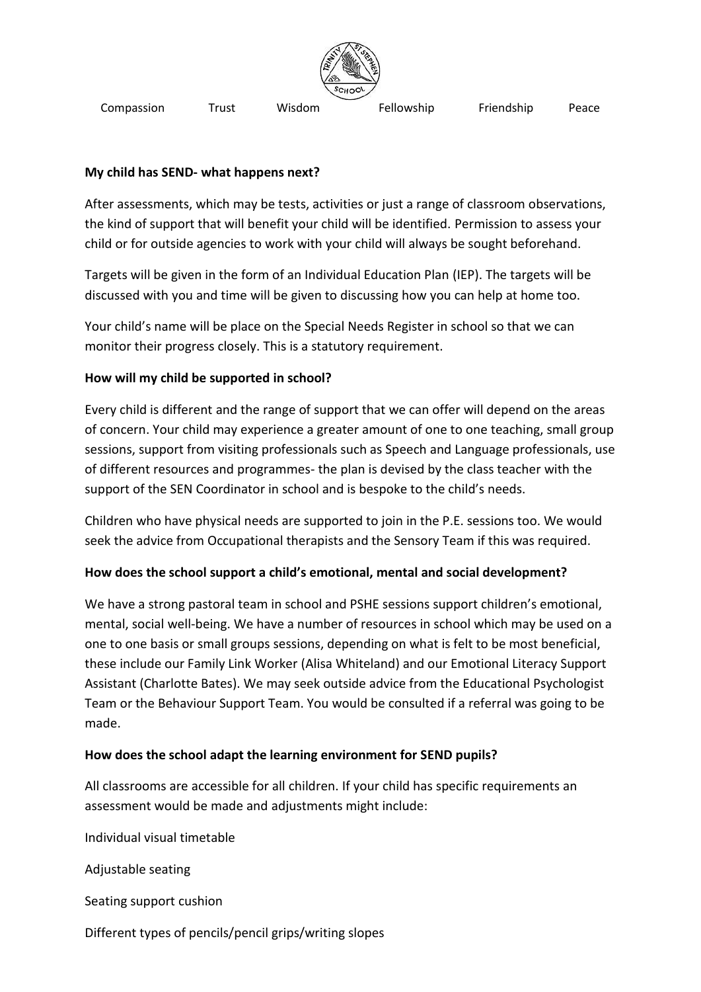

#### **My child has SEND- what happens next?**

After assessments, which may be tests, activities or just a range of classroom observations, the kind of support that will benefit your child will be identified. Permission to assess your child or for outside agencies to work with your child will always be sought beforehand.

Targets will be given in the form of an Individual Education Plan (IEP). The targets will be discussed with you and time will be given to discussing how you can help at home too.

Your child's name will be place on the Special Needs Register in school so that we can monitor their progress closely. This is a statutory requirement.

#### **How will my child be supported in school?**

Every child is different and the range of support that we can offer will depend on the areas of concern. Your child may experience a greater amount of one to one teaching, small group sessions, support from visiting professionals such as Speech and Language professionals, use of different resources and programmes- the plan is devised by the class teacher with the support of the SEN Coordinator in school and is bespoke to the child's needs.

Children who have physical needs are supported to join in the P.E. sessions too. We would seek the advice from Occupational therapists and the Sensory Team if this was required.

## **How does the school support a child's emotional, mental and social development?**

We have a strong pastoral team in school and PSHE sessions support children's emotional, mental, social well-being. We have a number of resources in school which may be used on a one to one basis or small groups sessions, depending on what is felt to be most beneficial, these include our Family Link Worker (Alisa Whiteland) and our Emotional Literacy Support Assistant (Charlotte Bates). We may seek outside advice from the Educational Psychologist Team or the Behaviour Support Team. You would be consulted if a referral was going to be made.

#### **How does the school adapt the learning environment for SEND pupils?**

All classrooms are accessible for all children. If your child has specific requirements an assessment would be made and adjustments might include:

Individual visual timetable

Adjustable seating

Seating support cushion

Different types of pencils/pencil grips/writing slopes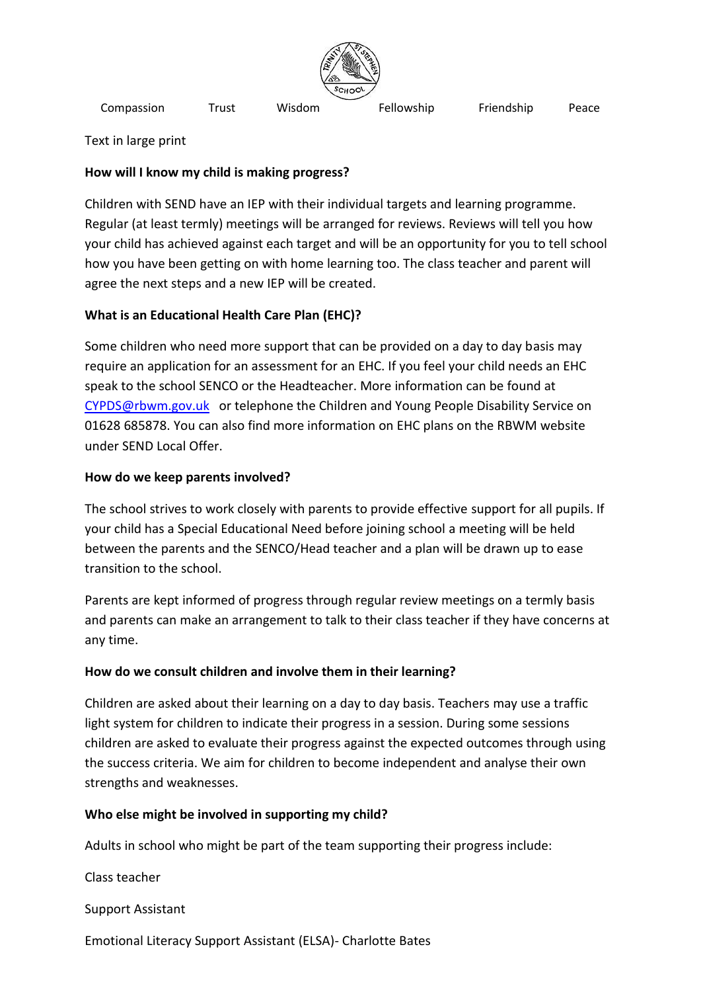

Text in large print

#### **How will I know my child is making progress?**

Children with SEND have an IEP with their individual targets and learning programme. Regular (at least termly) meetings will be arranged for reviews. Reviews will tell you how your child has achieved against each target and will be an opportunity for you to tell school how you have been getting on with home learning too. The class teacher and parent will agree the next steps and a new IEP will be created.

## **What is an Educational Health Care Plan (EHC)?**

Some children who need more support that can be provided on a day to day basis may require an application for an assessment for an EHC. If you feel your child needs an EHC speak to the school SENCO or the Headteacher. More information can be found at [CYPDS@rbwm.gov.uk](mailto:CYPDS@rbwm.gov.uk) or telephone the Children and Young People Disability Service on 01628 685878. You can also find more information on EHC plans on the RBWM website under SEND Local Offer.

#### **How do we keep parents involved?**

The school strives to work closely with parents to provide effective support for all pupils. If your child has a Special Educational Need before joining school a meeting will be held between the parents and the SENCO/Head teacher and a plan will be drawn up to ease transition to the school.

Parents are kept informed of progress through regular review meetings on a termly basis and parents can make an arrangement to talk to their class teacher if they have concerns at any time.

#### **How do we consult children and involve them in their learning?**

Children are asked about their learning on a day to day basis. Teachers may use a traffic light system for children to indicate their progress in a session. During some sessions children are asked to evaluate their progress against the expected outcomes through using the success criteria. We aim for children to become independent and analyse their own strengths and weaknesses.

#### **Who else might be involved in supporting my child?**

Adults in school who might be part of the team supporting their progress include:

Class teacher

Support Assistant

Emotional Literacy Support Assistant (ELSA)- Charlotte Bates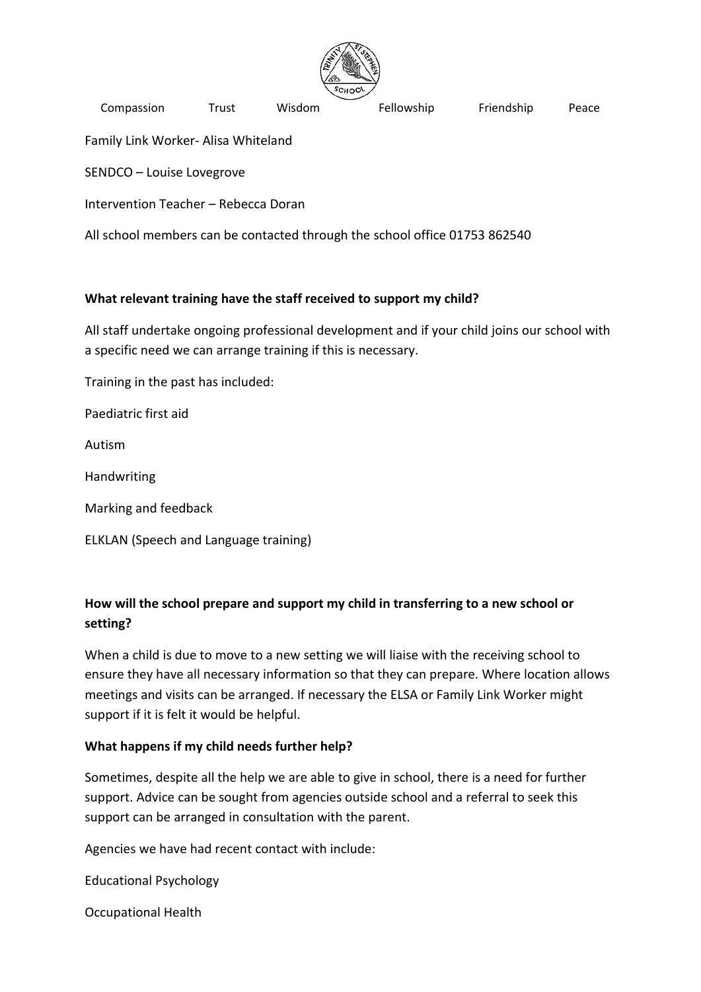

Family Link Worker- Alisa Whiteland

SENDCO – Louise Lovegrove

Intervention Teacher – Rebecca Doran

All school members can be contacted through the school office 01753 862540

#### **What relevant training have the staff received to support my child?**

All staff undertake ongoing professional development and if your child joins our school with a specific need we can arrange training if this is necessary.

Training in the past has included:

Paediatric first aid

Autism

Handwriting

Marking and feedback

ELKLAN (Speech and Language training)

## **How will the school prepare and support my child in transferring to a new school or setting?**

When a child is due to move to a new setting we will liaise with the receiving school to ensure they have all necessary information so that they can prepare. Where location allows meetings and visits can be arranged. If necessary the ELSA or Family Link Worker might support if it is felt it would be helpful.

#### **What happens if my child needs further help?**

Sometimes, despite all the help we are able to give in school, there is a need for further support. Advice can be sought from agencies outside school and a referral to seek this support can be arranged in consultation with the parent.

Agencies we have had recent contact with include:

Educational Psychology

Occupational Health